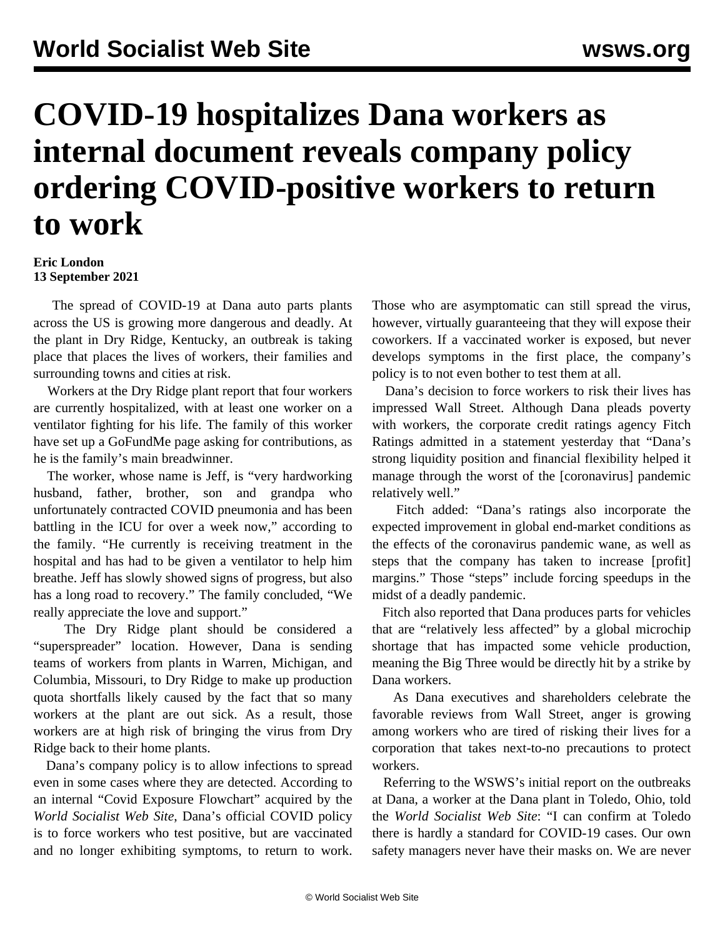## **COVID-19 hospitalizes Dana workers as internal document reveals company policy ordering COVID-positive workers to return to work**

## **Eric London 13 September 2021**

 The spread of COVID-19 at Dana auto parts plants across the US is growing more dangerous and deadly. At the plant in Dry Ridge, Kentucky, an outbreak is taking place that places the lives of workers, their families and surrounding towns and cities at risk.

 Workers at the Dry Ridge plant report that four workers are currently hospitalized, with at least one worker on a ventilator fighting for his life. The family of this worker have set up [a GoFundMe page](https://www.gofundme.com/f/hope-for-jeff-fund) asking for contributions, as he is the family's main breadwinner.

 The worker, whose name is Jeff, is "very hardworking husband, father, brother, son and grandpa who unfortunately contracted COVID pneumonia and has been battling in the ICU for over a week now," according to the family. "He currently is receiving treatment in the hospital and has had to be given a ventilator to help him breathe. Jeff has slowly showed signs of progress, but also has a long road to recovery." The family concluded, "We really appreciate the love and support."

 The Dry Ridge plant should be considered a "superspreader" location. However, Dana is sending teams of workers from plants in Warren, Michigan, and Columbia, Missouri, to Dry Ridge to make up production quota shortfalls likely caused by the fact that so many workers at the plant are out sick. As a result, those workers are at high risk of bringing the virus from Dry Ridge back to their home plants.

 Dana's company policy is to allow infections to spread even in some cases where they are detected. According to an internal "Covid Exposure Flowchart" acquired by the *World Socialist Web Site*, Dana's official COVID policy is to force workers who test positive, but are vaccinated and no longer exhibiting symptoms, to return to work.

Those who are asymptomatic can still spread the virus, however, virtually guaranteeing that they will expose their coworkers. If a vaccinated worker is exposed, but never develops symptoms in the first place, the company's policy is to not even bother to test them at all.

 Dana's decision to force workers to risk their lives has impressed Wall Street. Although Dana pleads poverty with workers, the corporate credit ratings agency Fitch Ratings admitted in a statement yesterday that "Dana's strong liquidity position and financial flexibility helped it manage through the worst of the [coronavirus] pandemic relatively well."

 Fitch added: "Dana's ratings also incorporate the expected improvement in global end-market conditions as the effects of the coronavirus pandemic wane, as well as steps that the company has taken to increase [profit] margins." Those "steps" include forcing speedups in the midst of a deadly pandemic.

 Fitch also reported that Dana produces parts for vehicles that are "relatively less affected" by a global microchip shortage that has impacted some vehicle production, meaning the Big Three would be directly hit by a strike by Dana workers.

 As Dana executives and shareholders celebrate the favorable reviews from Wall Street, anger is growing among workers who are tired of risking their lives for a corporation that takes next-to-no precautions to protect workers.

 Referring to the WSWS's [initial report](/en/articles/2021/09/13/dana-s13.html) on the outbreaks at Dana, a worker at the Dana plant in Toledo, Ohio, told the *World Socialist Web Site*: "I can confirm at Toledo there is hardly a standard for COVID-19 cases. Our own safety managers never have their masks on. We are never